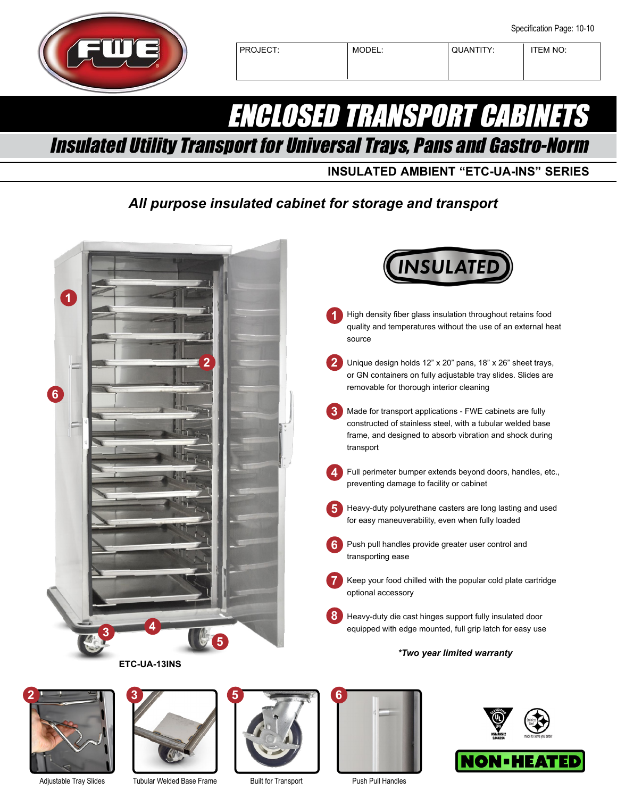

PROJECT: MODEL: QUANTITY: TEM NO:

## ENCLOSED TRANSPORT CABINETS

Insulated Utility Transport for Universal Trays, Pans and Gastro-Norm

**INSULATED AMBIENT "ETC-UA-INS" SERIES**

## *All purpose insulated cabinet for storage and transport*





**2**



Tubular Welded Base Frame



Built for Transport